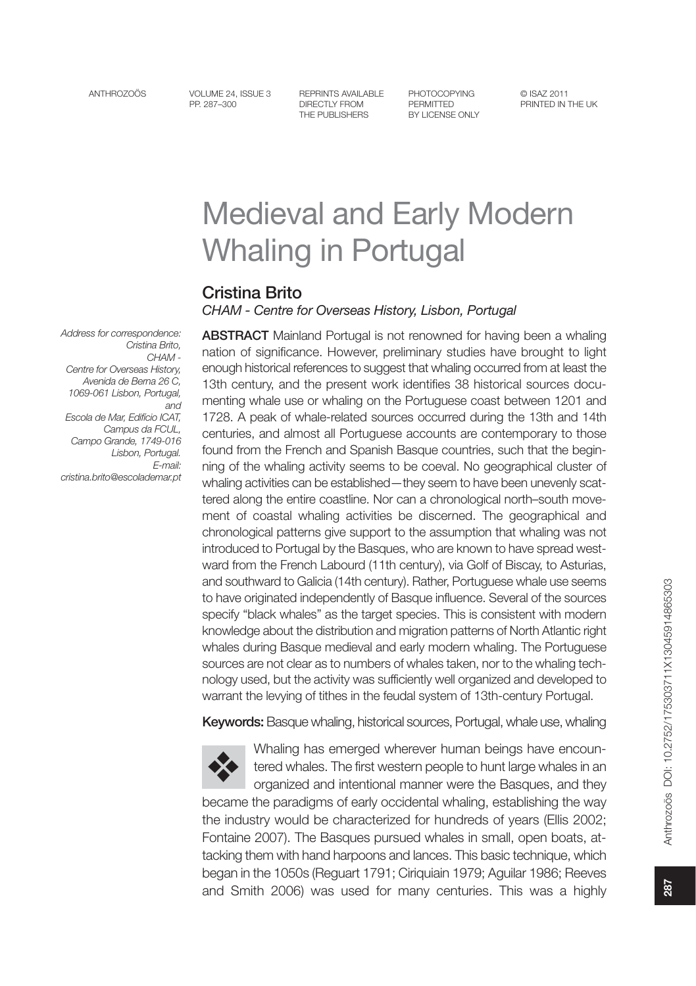ANTHROZOÖS VOLUME 24, ISSUE 3 REPRINTS AVAILABLE PHOTOCOPYING © ISAZ 2011 DIRECTLY FROM PERMITTED PERMITTED PRINTED IN THE UK<br>THE PLIBLISHERS BY LICENSE ONLY

**RY LICENSE ONLY** 

# Medieval and Early Modern Whaling in Portugal

# **Cristina Brito**

*CHAM - Centre for Overseas History, Lisbon, Portugal*

**ABSTRACT** Mainland Portugal is not renowned for having been a whaling nation of significance. However, preliminary studies have brought to light enough historical references to suggest that whaling occurred from at least the 13th century, and the present work identifies 38 historical sources documenting whale use or whaling on the Portuguese coast between 1201 and 1728. A peak of whale-related sources occurred during the 13th and 14th centuries, and almost all Portuguese accounts are contemporary to those found from the French and Spanish Basque countries, such that the beginning of the whaling activity seems to be coeval. No geographical cluster of whaling activities can be established—they seem to have been unevenly scattered along the entire coastline. Nor can a chronological north–south movement of coastal whaling activities be discerned. The geographical and chronological patterns give support to the assumption that whaling was not introduced to Portugal by the Basques, who are known to have spread westward from the French Labourd (11th century), via Golf of Biscay, to Asturias, and southward to Galicia (14th century). Rather, Portuguese whale use seems to have originated independently of Basque influence. Several of the sources specify "black whales" as the target species. This is consistent with modern knowledge about the distribution and migration patterns of North Atlantic right whales during Basque medieval and early modern whaling. The Portuguese sources are not clear as to numbers of whales taken, nor to the whaling technology used, but the activity was sufficiently well organized and developed to warrant the levying of tithes in the feudal system of 13th-century Portugal. Medieval and Early Modern<br>
Whaling in Portugal<br>
Cristina Brito<br>
CHAM-Center for Overseas History, Usbon, Portugal<br>
Cristina Brito<br>
Cham-Center Molingin (Bottugal is not recovered for having boon a which<br>
Cham-Center Molin CHAM - Centre for Overseas History, Lisbon, Portugal<br>
Mexical Machimical Portugal<br>
Mexical Machimical Portugal<br>
Mexical matrix mation of significance. However, preliminary studes have brought to light<br>
Mexical matrix matri

**Keywords:** Basque whaling, historical sources, Portugal, whale use, whaling



Whaling has emerged wherever human beings have encountered whales. The first western people to hunt large whales in an organized and intentional manner were the Basques, and they

became the paradigms of early occidental whaling, establishing the way the industry would be characterized for hundreds of years (Ellis 2002; Fontaine 2007). The Basques pursued whales in small, open boats, attacking them with hand harpoons and lances. This basic technique, which began in the 1050s (Reguart 1791; Ciriquiain 1979; Aguilar 1986; Reeves and Smith 2006) was used for many centuries. This was a highly

*Address for correspondence: Cristina Brito, CHAM - Centre for Overseas History, Avenida de Berna 26 C, 1069-061 Lisbon, Portugal, and Escola de Mar, Edifício ICAT, Campus da FCUL, Campo Grande, 1749-016 Lisbon, Portugal. E-mail: cristina.brito@escolademar.pt*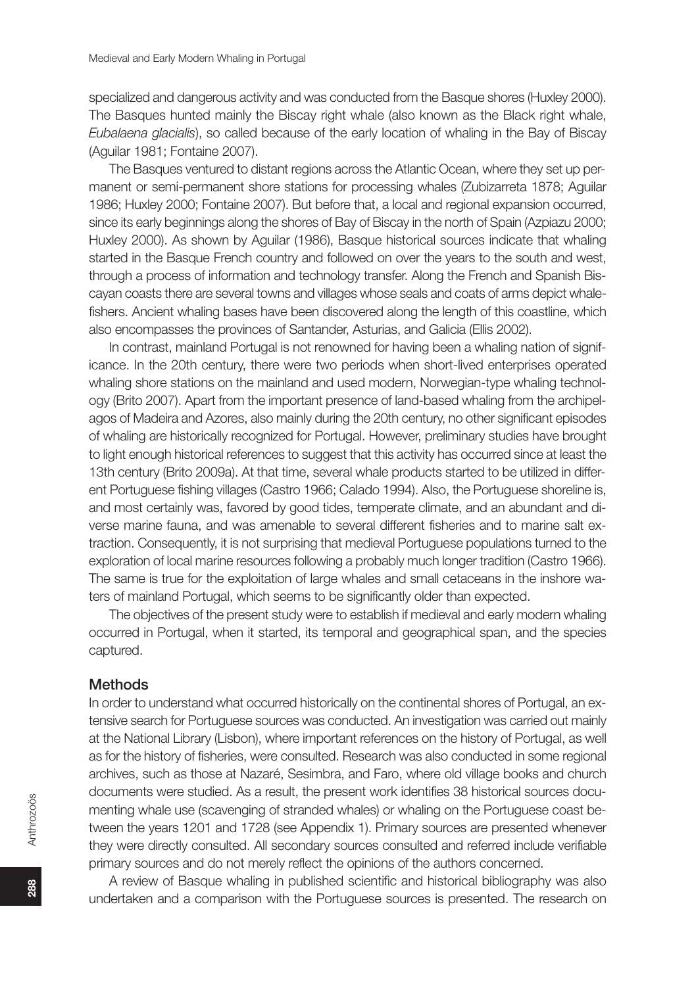specialized and dangerous activity and was conducted from the Basque shores (Huxley 2000). The Basques hunted mainly the Biscay right whale (also known as the Black right whale, *Eubalaena glacialis*), so called because of the early location of whaling in the Bay of Biscay (Aguilar 1981; Fontaine 2007).

The Basques ventured to distant regions across the Atlantic Ocean, where they set up permanent or semi-permanent shore stations for processing whales (Zubizarreta 1878; Aguilar 1986; Huxley 2000; Fontaine 2007). But before that, a local and regional expansion occurred, since its early beginnings along the shores of Bay of Biscay in the north of Spain (Azpiazu 2000; Huxley 2000). As shown by Aguilar (1986), Basque historical sources indicate that whaling started in the Basque French country and followed on over the years to the south and west, through a process of information and technology transfer. Along the French and Spanish Biscayan coasts there are several towns and villages whose seals and coats of arms depict whalefishers. Ancient whaling bases have been discovered along the length of this coastline, which also encompasses the provinces of Santander, Asturias, and Galicia (Ellis 2002).

In contrast, mainland Portugal is not renowned for having been a whaling nation of significance. In the 20th century, there were two periods when short-lived enterprises operated whaling shore stations on the mainland and used modern, Norwegian-type whaling technology (Brito 2007). Apart from the important presence of land-based whaling from the archipelagos of Madeira and Azores, also mainly during the 20th century, no other significant episodes of whaling are historically recognized for Portugal. However, preliminary studies have brought to light enough historical references to suggest that this activity has occurred since at least the 13th century (Brito 2009a). At that time, several whale products started to be utilized in different Portuguese fishing villages (Castro 1966; Calado 1994). Also, the Portuguese shoreline is, and most certainly was, favored by good tides, temperate climate, and an abundant and diverse marine fauna, and was amenable to several different fisheries and to marine salt extraction. Consequently, it is not surprising that medieval Portuguese populations turned to the exploration of local marine resources following a probably much longer tradition (Castro 1966). The same is true for the exploitation of large whales and small cetaceans in the inshore waters of mainland Portugal, which seems to be significantly older than expected. The basiques ventules uto usaral regulous actos the Austin (metalling of the security enterpret or stering theoretic processing whales (Zubizaretta 1878; Aguil 1996; Hudwig 2000; Fortaine 2007). But before that, a local an ent whaling bases have been discovered along the length of this coastine, which<br>assess the provinces of Scantander, Asturais, and Galicia (Ellis 2002).<br>Its, mainland Portugal is not renowned for having been a whaling natio

The objectives of the present study were to establish if medieval and early modern whaling occurred in Portugal, when it started, its temporal and geographical span, and the species captured.

## **Methods**

In order to understand what occurred historically on the continental shores of Portugal, an extensive search for Portuguese sources was conducted. An investigation was carried out mainly at the National Library (Lisbon), where important references on the history of Portugal, as well as for the history of fisheries, were consulted. Research was also conducted in some regional archives, such as those at Nazaré, Sesimbra, and Faro, where old village books and church documents were studied. As a result, the present work identifies 38 historical sources documenting whale use (scavenging of stranded whales) or whaling on the Portuguese coast between the years 1201 and 1728 (see Appendix 1). Primary sources are presented whenever they were directly consulted. All secondary sources consulted and referred include verifiable primary sources and do not merely reflect the opinions of the authors concerned.

A review of Basque whaling in published scientific and historical bibliography was also undertaken and a comparison with the Portuguese sources is presented. The research on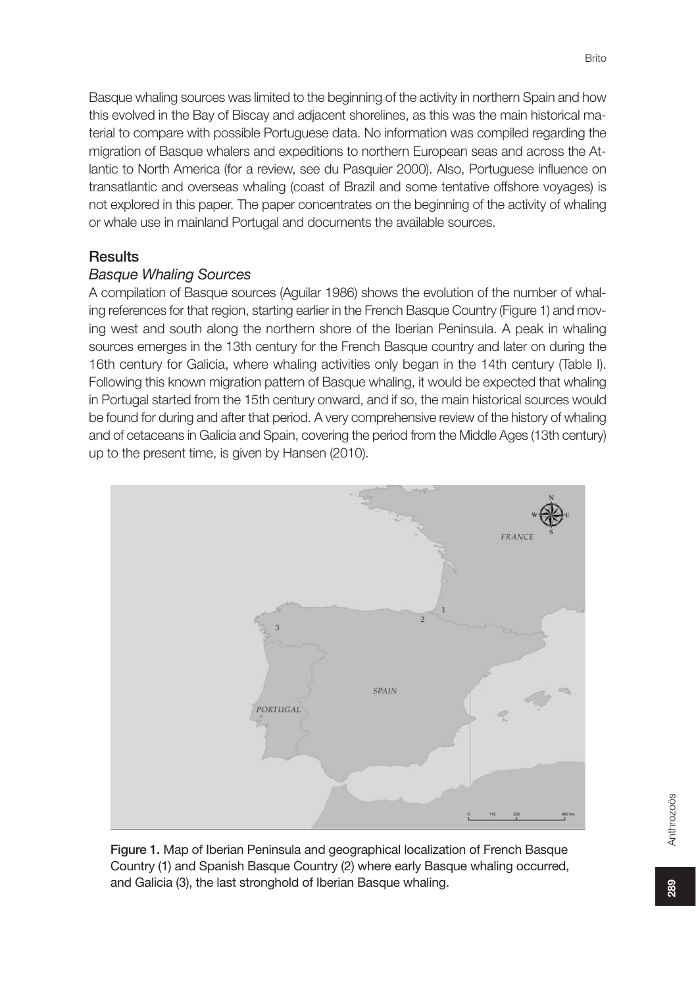Basque whaling sources was limited to the beginning of the activity in northern Spain and how this evolved in the Bay of Biscay and adjacent shorelines, as this was the main historical material to compare with possible Portuguese data. No information was compiled regarding the migration of Basque whalers and expeditions to northern European seas and across the Atlantic to North America (for a review, see du Pasquier 2000). Also, Portuguese influence on transatlantic and overseas whaling (coast of Brazil and some tentative offshore voyages) is not explored in this paper. The paper concentrates on the beginning of the activity of whaling or whale use in mainland Portugal and documents the available sources.

# **Results**

# *Basque Whaling Sources*

A compilation of Basque sources (Aguilar 1986) shows the evolution of the number of whaling references for that region, starting earlier in the French Basque Country (Figure 1) and moving west and south along the northern shore of the Iberian Peninsula. A peak in whaling sources emerges in the 13th century for the French Basque country and later on during the 16th century for Galicia, where whaling activities only began in the 14th century (Table I). Following this known migration pattern of Basque whaling, it would be expected that whaling in Portugal started from the 15th century onward, and if so, the main historical sources would be found for during and after that period. A very comprehensive review of the history of whaling and of cetaceans in Galicia and Spain, covering the period from the Middle Ages (13th century) up to the present time, is given by Hansen (2010).



**Figure 1.** Map of Iberian Peninsula and geographical localization of French Basque Country (1) and Spanish Basque Country (2) where early Basque whaling occurred, and Galicia (3), the last stronghold of Iberian Basque whaling.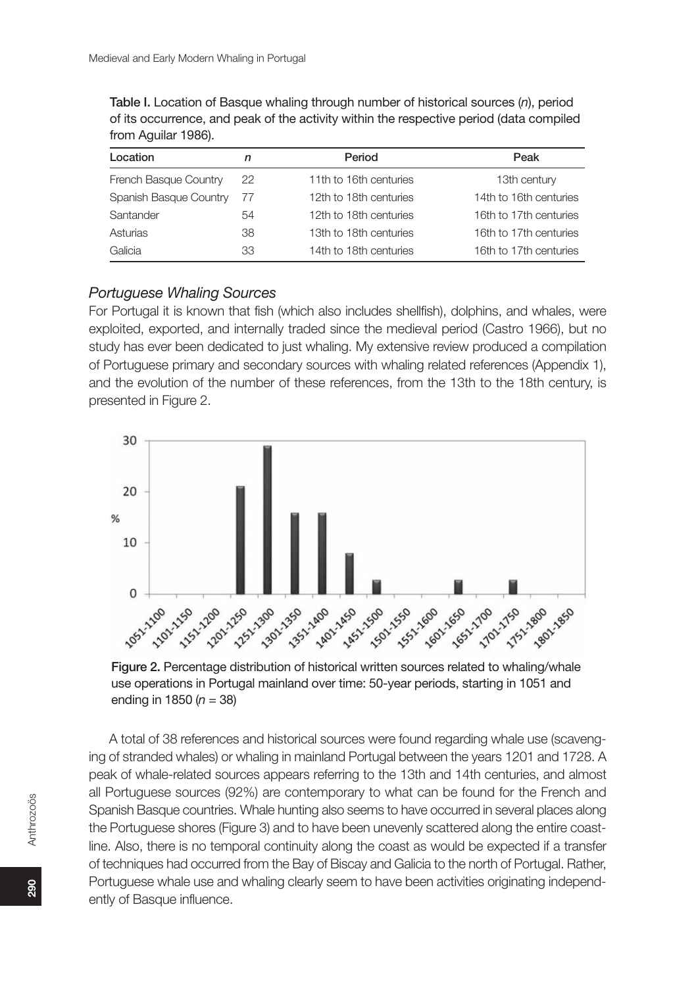| Location               | n  | Period                 | Peak                   |
|------------------------|----|------------------------|------------------------|
| French Basque Country  | 22 | 11th to 16th centuries | 13th century           |
| Spanish Basque Country | 77 | 12th to 18th centuries | 14th to 16th centuries |
| Santander              | 54 | 12th to 18th centuries | 16th to 17th centuries |
| Asturias               | 38 | 13th to 18th centuries | 16th to 17th centuries |
| Galicia                | 33 | 14th to 18th centuries | 16th to 17th centuries |

**Table I.** Location of Basque whaling through number of historical sources (*n*), period of its occurrence, and peak of the activity within the respective period (data compiled from Aguilar 1986).

# *Portuguese Whaling Sources*

For Portugal it is known that fish (which also includes shellfish), dolphins, and whales, were exploited, exported, and internally traded since the medieval period (Castro 1966), but no study has ever been dedicated to just whaling. My extensive review produced a compilation of Portuguese primary and secondary sources with whaling related references (Appendix 1), and the evolution of the number of these references, from the 13th to the 18th century, is presented in Figure 2.



**Figure 2.** Percentage distribution of historical written sources related to whaling/whale use operations in Portugal mainland over time: 50-year periods, starting in 1051 and ending in 1850 (*n* = 38)

A total of 38 references and historical sources were found regarding whale use (scavenging of stranded whales) or whaling in mainland Portugal between the years 1201 and 1728. A peak of whale-related sources appears referring to the 13th and 14th centuries, and almost all Portuguese sources (92%) are contemporary to what can be found for the French and Spanish Basque countries. Whale hunting also seems to have occurred in several places along the Portuguese shores (Figure 3) and to have been unevenly scattered along the entire coastline. Also, there is no temporal continuity along the coast as would be expected if a transfer of techniques had occurred from the Bay of Biscay and Galicia to the north of Portugal. Rather, Portuguese whale use and whaling clearly seem to have been activities originating independently of Basque influence.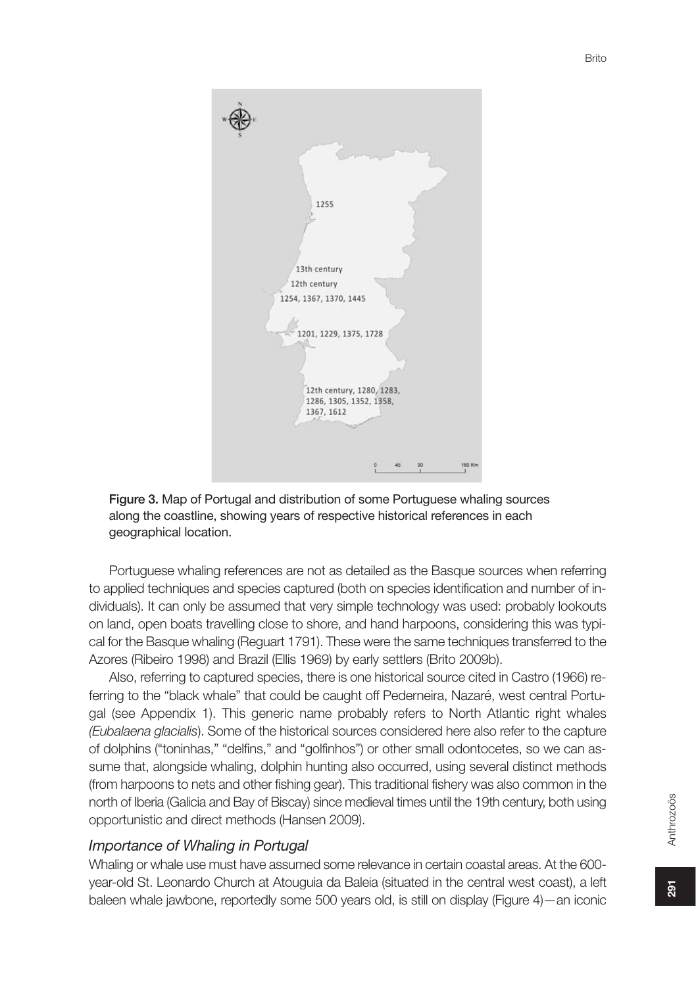

**Figure 3.** Map of Portugal and distribution of some Portuguese whaling sources along the coastline, showing years of respective historical references in each geographical location.

Portuguese whaling references are not as detailed as the Basque sources when referring to applied techniques and species captured (both on species identification and number of individuals). It can only be assumed that very simple technology was used: probably lookouts on land, open boats travelling close to shore, and hand harpoons, considering this was typical for the Basque whaling (Reguart 1791). These were the same techniques transferred to the Azores (Ribeiro 1998) and Brazil (Ellis 1969) by early settlers (Brito 2009b).

Also, referring to captured species, there is one historical source cited in Castro (1966) referring to the "black whale" that could be caught off Pederneira, Nazaré, west central Portugal (see Appendix 1). This generic name probably refers to North Atlantic right whales *(Eubalaena glacialis*). Some of the historical sources considered here also refer to the capture of dolphins ("toninhas," "delfins," and "golfinhos") or other small odontocetes, so we can assume that, alongside whaling, dolphin hunting also occurred, using several distinct methods (from harpoons to nets and other fishing gear). This traditional fishery was also common in the north of Iberia (Galicia and Bay of Biscay) since medieval times until the 19th century, both using opportunistic and direct methods (Hansen 2009). This wave, 1983, 1993, 1993, 1993, 1993, 1993, 1994, 1993, 1993, 1994, 1993, 1993, 1993, 1993, 1993, 1993, 1993, 1993, 1993, 1993, 1993, 1993, 1993, 1993, 1993, 1993, 1993, 1993, 1993, 1993, 1993, 1993, 1993, 1993, 1993, 1

## *Importance of Whaling in Portugal*

Whaling or whale use must have assumed some relevance in certain coastal areas. At the 600 year-old St. Leonardo Church at Atouguia da Baleia (situated in the central west coast), a left baleen whale jawbone, reportedly some 500 years old, is still on display (Figure 4)—an iconic

 $\overline{8}$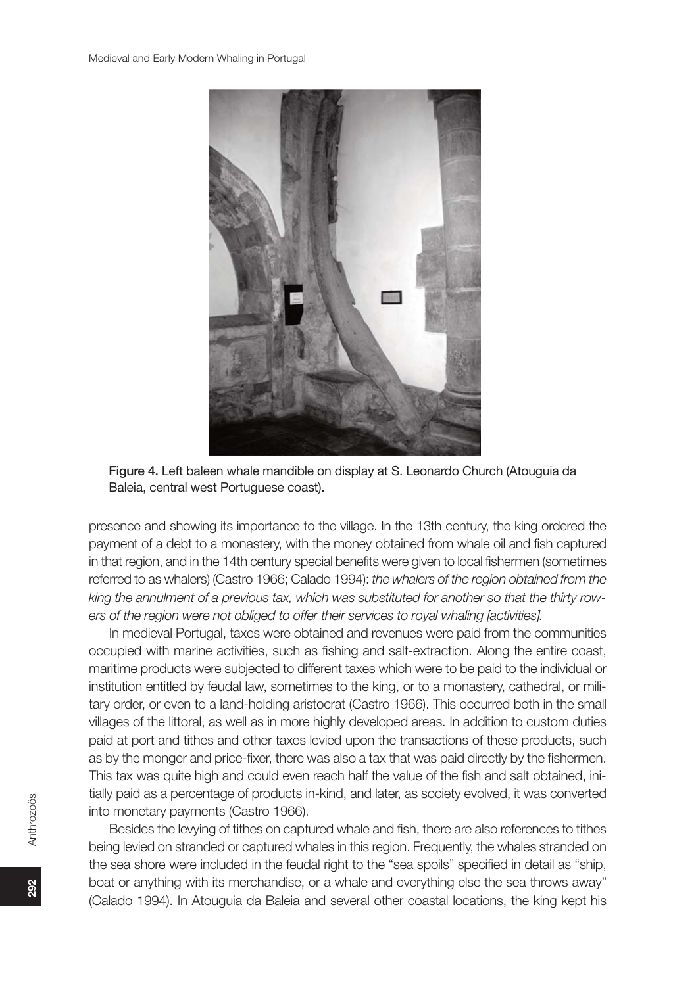

**Figure 4.** Left baleen whale mandible on display at S. Leonardo Church (Atouguia da Baleia, central west Portuguese coast).

presence and showing its importance to the village. In the 13th century, the king ordered the payment of a debt to a monastery, with the money obtained from whale oil and fish captured in that region, and in the 14th century special benefits were given to local fishermen (sometimes referred to as whalers) (Castro 1966; Calado 1994): *the whalers of the region obtained from the king the annulment of a previous tax, which was substituted for another so that the thirty rowers of the region were not obliged to offer their services to royal whaling [activities].*

In medieval Portugal, taxes were obtained and revenues were paid from the communities occupied with marine activities, such as fishing and salt-extraction. Along the entire coast, maritime products were subjected to different taxes which were to be paid to the individual or institution entitled by feudal law, sometimes to the king, or to a monastery, cathedral, or military order, or even to a land-holding aristocrat (Castro 1966). This occurred both in the small villages of the littoral, as well as in more highly developed areas. In addition to custom duties paid at port and tithes and other taxes levied upon the transactions of these products, such as by the monger and price-fixer, there was also a tax that was paid directly by the fishermen. This tax was quite high and could even reach half the value of the fish and salt obtained, initially paid as a percentage of products in-kind, and later, as society evolved, it was converted into monetary payments (Castro 1966). Left balean whale mandible on display at S. Leonardo Church (Atouguia da<br>entrai west Portuguese coast).<br>In the 13th certury the King ordered the<br>adebt to a monastery, with the money obtained from whate oil and fish capture

Besides the levying of tithes on captured whale and fish, there are also references to tithes being levied on stranded or captured whales in this region. Frequently, the whales stranded on the sea shore were included in the feudal right to the "sea spoils" specified in detail as "ship, boat or anything with its merchandise, or a whale and everything else the sea throws away" (Calado 1994). In Atouguia da Baleia and several other coastal locations, the king kept his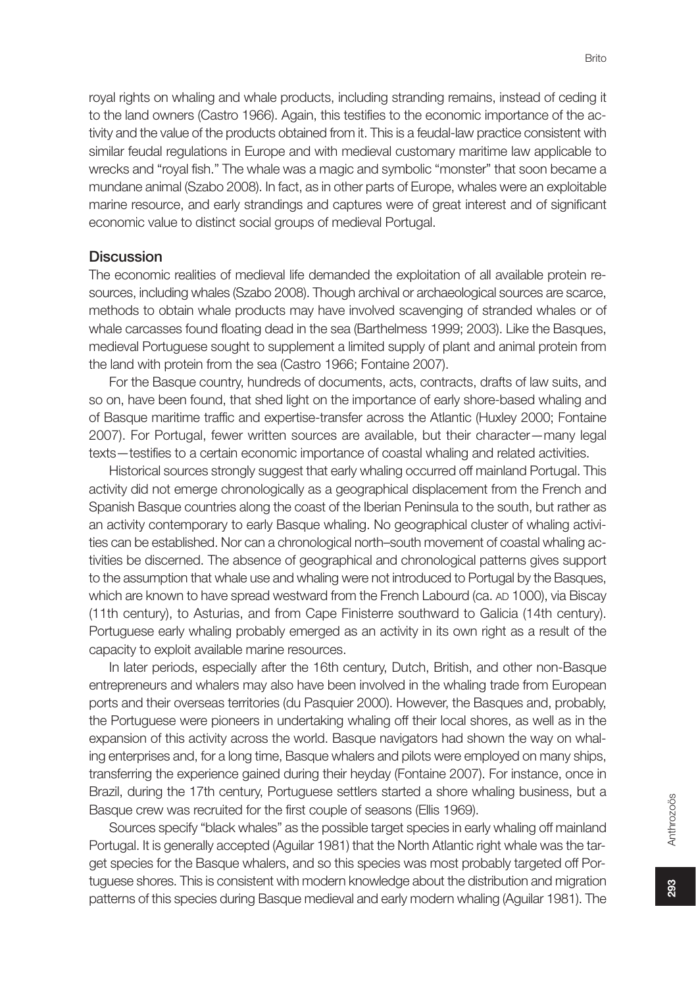royal rights on whaling and whale products, including stranding remains, instead of ceding it to the land owners (Castro 1966). Again, this testifies to the economic importance of the activity and the value of the products obtained from it. This is a feudal-law practice consistent with similar feudal regulations in Europe and with medieval customary maritime law applicable to wrecks and "royal fish." The whale was a magic and symbolic "monster" that soon became a mundane animal (Szabo 2008). In fact, as in other parts of Europe, whales were an exploitable marine resource, and early strandings and captures were of great interest and of significant economic value to distinct social groups of medieval Portugal.

### **Discussion**

The economic realities of medieval life demanded the exploitation of all available protein resources, including whales (Szabo 2008). Though archival or archaeological sources are scarce, methods to obtain whale products may have involved scavenging of stranded whales or of whale carcasses found floating dead in the sea (Barthelmess 1999; 2003). Like the Basques, medieval Portuguese sought to supplement a limited supply of plant and animal protein from the land with protein from the sea (Castro 1966; Fontaine 2007).

For the Basque country, hundreds of documents, acts, contracts, drafts of law suits, and so on, have been found, that shed light on the importance of early shore-based whaling and of Basque maritime traffic and expertise-transfer across the Atlantic (Huxley 2000; Fontaine 2007). For Portugal, fewer written sources are available, but their character—many legal texts—testifies to a certain economic importance of coastal whaling and related activities.

Historical sources strongly suggest that early whaling occurred off mainland Portugal. This activity did not emerge chronologically as a geographical displacement from the French and Spanish Basque countries along the coast of the Iberian Peninsula to the south, but rather as an activity contemporary to early Basque whaling. No geographical cluster of whaling activities can be established. Nor can a chronological north–south movement of coastal whaling activities be discerned. The absence of geographical and chronological patterns gives support to the assumption that whale use and whaling were not introduced to Portugal by the Basques, which are known to have spread westward from the French Labourd (ca. AD 1000), via Biscay (11th century), to Asturias, and from Cape Finisterre southward to Galicia (14th century). Portuguese early whaling probably emerged as an activity in its own right as a result of the capacity to exploit available marine resources. weeks an urigin is . The whate was a flugue and symbolic interact undstand in the most product interact that is not the most product interact that is not the most product interact that is not the system of system and captu obtain whale products may have involved scavenging of stranded whales or of<br>seas found floating dead in the sea (Barthelmess 1999; 2003). Like the Basques,<br>rutyguese sought to supplement a limited supply of plant and anima

In later periods, especially after the 16th century, Dutch, British, and other non-Basque entrepreneurs and whalers may also have been involved in the whaling trade from European ports and their overseas territories (du Pasquier 2000). However, the Basques and, probably, the Portuguese were pioneers in undertaking whaling off their local shores, as well as in the expansion of this activity across the world. Basque navigators had shown the way on whaling enterprises and, for a long time, Basque whalers and pilots were employed on many ships, transferring the experience gained during their heyday (Fontaine 2007). For instance, once in Brazil, during the 17th century, Portuguese settlers started a shore whaling business, but a Basque crew was recruited for the first couple of seasons (Ellis 1969).

Sources specify "black whales" as the possible target species in early whaling off mainland Portugal. It is generally accepted (Aguilar 1981) that the North Atlantic right whale was the target species for the Basque whalers, and so this species was most probably targeted off Portuguese shores. This is consistent with modern knowledge about the distribution and migration patterns of this species during Basque medieval and early modern whaling (Aguilar 1981). The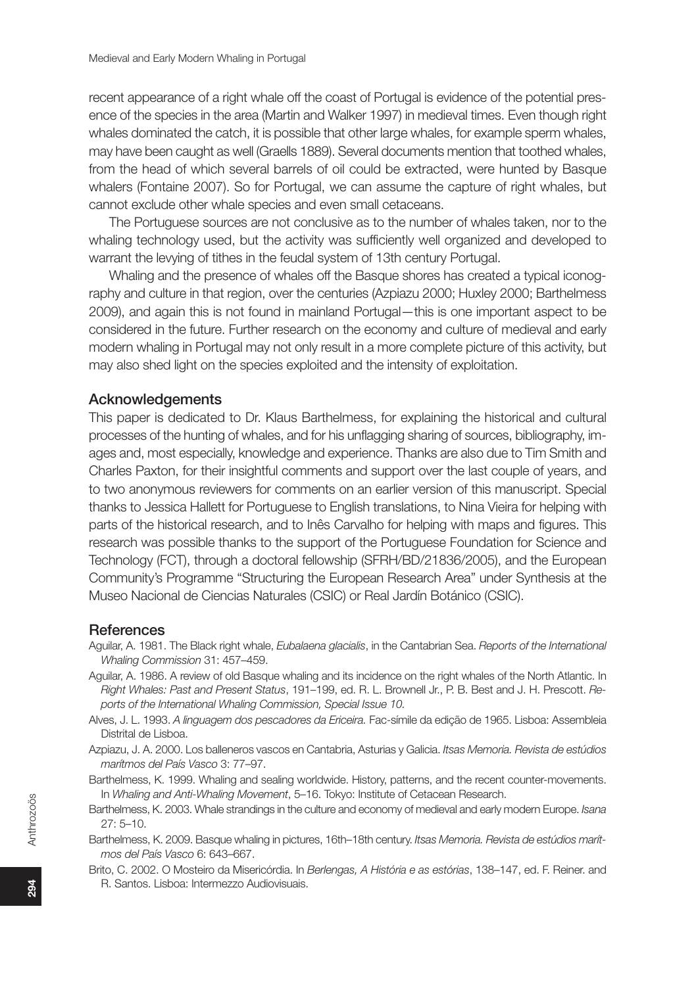recent appearance of a right whale off the coast of Portugal is evidence of the potential presence of the species in the area (Martin and Walker 1997) in medieval times. Even though right whales dominated the catch, it is possible that other large whales, for example sperm whales, may have been caught as well (Graells 1889). Several documents mention that toothed whales, from the head of which several barrels of oil could be extracted, were hunted by Basque whalers (Fontaine 2007). So for Portugal, we can assume the capture of right whales, but cannot exclude other whale species and even small cetaceans.

The Portuguese sources are not conclusive as to the number of whales taken, nor to the whaling technology used, but the activity was sufficiently well organized and developed to warrant the levying of tithes in the feudal system of 13th century Portugal.

Whaling and the presence of whales off the Basque shores has created a typical iconography and culture in that region, over the centuries (Azpiazu 2000; Huxley 2000; Barthelmess 2009), and again this is not found in mainland Portugal—this is one important aspect to be considered in the future. Further research on the economy and culture of medieval and early modern whaling in Portugal may not only result in a more complete picture of this activity, but may also shed light on the species exploited and the intensity of exploitation.

#### **Acknowledgements**

This paper is dedicated to Dr. Klaus Barthelmess, for explaining the historical and cultural processes of the hunting of whales, and for his unflagging sharing of sources, bibliography, images and, most especially, knowledge and experience. Thanks are also due to Tim Smith and Charles Paxton, for their insightful comments and support over the last couple of years, and to two anonymous reviewers for comments on an earlier version of this manuscript. Special thanks to Jessica Hallett for Portuguese to English translations, to Nina Vieira for helping with parts of the historical research, and to Inês Carvalho for helping with maps and figures. This research was possible thanks to the support of the Portuguese Foundation for Science and Technology (FCT), through a doctoral fellowship (SFRH/BD/21836/2005), and the European Community's Programme "Structuring the European Research Area" under Synthesis at the Museo Nacional de Ciencias Naturales (CSIC) or Real Jardín Botánico (CSIC). infinite these other band and assume that of the cartactery, when interesting the capture of right whales, because the capture of right whales, because the control and the principal word and the moment control and the prin again this is not found in mainland Portugal – this is one important aspect to be<br>n the future. Further research on the economy and outlure of medieval and early<br>hing in Portugal may not only result in a more complete pict

#### **References**

- Aguilar, A. 1981. The Black right whale, *Eubalaena glacialis*, in the Cantabrian Sea. *Reports of the International Whaling Commission* 31: 457–459.
- Aguilar, A. 1986. A review of old Basque whaling and its incidence on the right whales of the North Atlantic. In *Right Whales: Past and Present Status*, 191–199, ed. R. L. Brownell Jr., P. B. Best and J. H. Prescott. *Reports of the International Whaling Commission, Special Issue 10.*
- Alves, J. L. 1993. *A linguagem dos pescadores da Ericeira.* Fac-símile da edição de 1965. Lisboa: Assembleia Distrital de Lisboa.
- Azpiazu, J. A. 2000. Los balleneros vascos en Cantabria, Asturias y Galicia. *Itsas Memoria. Revista de estúdios marítmos del País Vasco* 3: 77–97.

Barthelmess, K. 1999. Whaling and sealing worldwide. History, patterns, and the recent counter-movements. In *Whaling and Anti-Whaling Movement*, 5–16. Tokyo: Institute of Cetacean Research.

- Barthelmess, K. 2003. Whale strandings in the culture and economy of medieval and early modern Europe. *Isana* 27: 5–10.
- Barthelmess, K. 2009. Basque whaling in pictures, 16th–18th century. *Itsas Memoria. Revista de estúdios marítmos del País Vasco* 6: 643–667.
- Brito, C. 2002. O Mosteiro da Misericórdia. In *Berlengas, A História e as estórias*, 138–147, ed. F. Reiner. and R. Santos. Lisboa: Intermezzo Audiovisuais.

 $\overline{a}$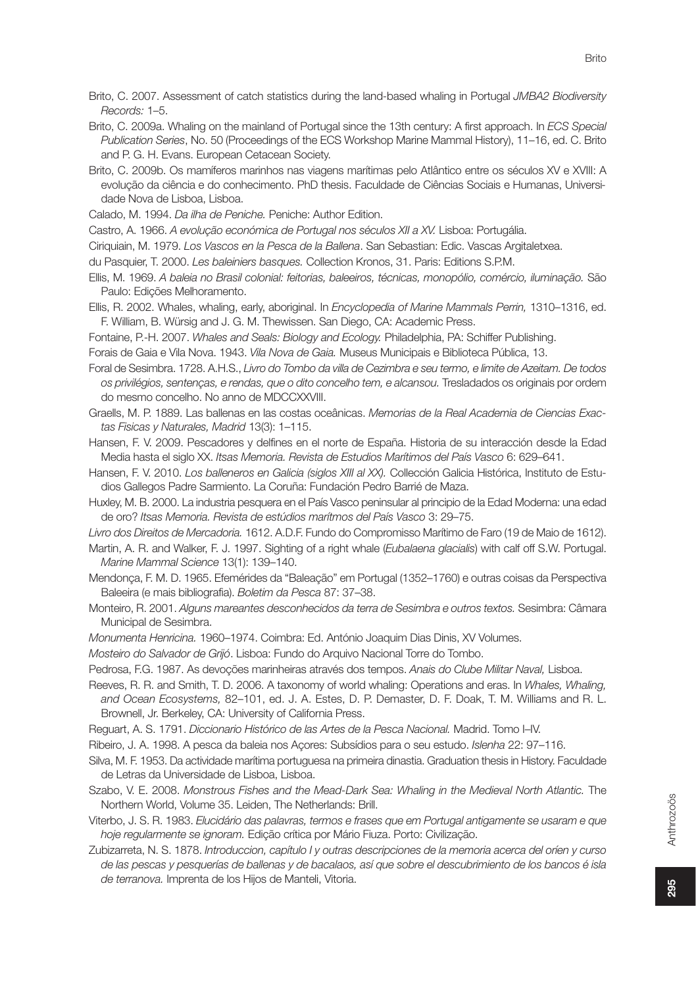Brito, C. 2007. Assessment of catch statistics during the land-based whaling in Portugal *JMBA2 Biodiversity Records:* 1–5.

- Brito, C. 2009a. Whaling on the mainland of Portugal since the 13th century: A first approach. In *ECS Special Publication Series*, No. 50 (Proceedings of the ECS Workshop Marine Mammal History), 11–16, ed. C. Brito and P. G. H. Evans. European Cetacean Society.
- Brito, C. 2009b. Os mamíferos marinhos nas viagens marítimas pelo Atlântico entre os séculos XV e XVIII: A evolução da ciência e do conhecimento. PhD thesis. Faculdade de Ciências Sociais e Humanas, Universidade Nova de Lisboa, Lisboa.

Calado, M. 1994. *Da ilha de Peniche.* Peniche: Author Edition.

Castro, A. 1966. *A evolução económica de Portugal nos séculos XII a XV.* Lisboa: Portugália.

Ciriquiain, M. 1979. *Los Vascos en la Pesca de la Ballena*. San Sebastian: Edic. Vascas Argitaletxea.

du Pasquier, T. 2000. *Les baleiniers basques.* Collection Kronos, 31. Paris: Editions S.P.M.

- Ellis, M. 1969. *A baleia no Brasil colonial: feitorias, baleeiros, técnicas, monopólio, comércio, iluminação.* São Paulo: Edições Melhoramento.
- Ellis, R. 2002. Whales, whaling, early, aboriginal. In *Encyclopedia of Marine Mammals Perrin,* 1310–1316, ed. F. William, B. Würsig and J. G. M. Thewissen. San Diego, CA: Academic Press.

Fontaine, P.-H. 2007. *Whales and Seals: Biology and Ecology.* Philadelphia, PA: Schiffer Publishing.

Forais de Gaia e Vila Nova. 1943. *Vila Nova de Gaia.* Museus Municipais e Biblioteca Pública, 13.

Foral de Sesimbra. 1728. A.H.S., *Livro do Tombo da villa de Cezimbra e seu termo, e limite de Azeitam. De todos os privilégios, sentenças, e rendas, que o dito concelho tem, e alcansou.* Tresladados os originais por ordem do mesmo concelho. No anno de MDCCXXVIII. emo. C. 2005. Osmanneres memories nels vegetes martimes per o Aremico entre os securios ve Avinto de Laboration and the memories of the memories of the memories of the memories of the Calician Control Calician Cadian (Marc Whiste, whenling, early, about all proportioned more and when Metampias Permit, 1310-1316; ed.<br>
2007: Mhakes and Search Ediology and Ecology, professor<br>
2007: Mhakes and Search Ediology and Ecology and Ecology and Ecology

Graells, M. P. 1889. Las ballenas en las costas oceânicas. *Memorias de la Real Academia de Ciencias Exactas Fisicas y Naturales, Madrid* 13(3): 1–115.

- Hansen, F. V. 2009. Pescadores y delfines en el norte de España. Historia de su interacción desde la Edad Media hasta el siglo XX. *Itsas Memoria. Revista de Estudios Marítimos del País Vasco* 6: 629–641.
- Hansen, F. V. 2010. *Los balleneros en Galicia (siglos XIII al XX).* Collección Galicia Histórica, Instituto de Estudios Gallegos Padre Sarmiento. La Coruña: Fundación Pedro Barrié de Maza.
- Huxley, M. B. 2000. La industria pesquera en el País Vasco peninsular al principio de la Edad Moderna: una edad de oro? *Itsas Memoria. Revista de estúdios marítmos del País Vasco* 3: 29–75.
- *Livro dos Direitos de Mercadoria.* 1612. A.D.F. Fundo do Compromisso Marítimo de Faro (19 de Maio de 1612).
- Martin, A. R. and Walker, F. J. 1997. Sighting of a right whale (*Eubalaena glacialis*) with calf off S.W. Portugal. *Marine Mammal Science* 13(1): 139–140.
- Mendonça, F. M. D. 1965. Efemérides da "Baleação" em Portugal (1352–1760) e outras coisas da Perspectiva Baleeira (e mais bibliografia). *Boletim da Pesca* 87: 37–38.
- Monteiro, R. 2001. *Alguns mareantes desconhecidos da terra de Sesimbra e outros textos.* Sesimbra: Câmara Municipal de Sesimbra.
- *Monumenta Henricina.* 1960–1974. Coimbra: Ed. António Joaquim Dias Dinis, XV Volumes.

*Mosteiro do Salvador de Grijó*. Lisboa: Fundo do Arquivo Nacional Torre do Tombo.

Pedrosa, F.G. 1987. As devoções marinheiras através dos tempos. *Anais do Clube Militar Naval,* Lisboa.

Reeves, R. R. and Smith, T. D. 2006. A taxonomy of world whaling: Operations and eras. In *Whales, Whaling, and Ocean Ecosystems,* 82–101, ed. J. A. Estes, D. P. Demaster, D. F. Doak, T. M. Williams and R. L. Brownell, Jr. Berkeley, CA: University of California Press.

Reguart, A. S. 1791. *Diccionario Histórico de las Artes de la Pesca Nacional.* Madrid. Tomo I–IV.

Ribeiro, J. A. 1998. A pesca da baleia nos Açores: Subsídios para o seu estudo. *Islenha* 22: 97–116.

- Silva, M. F. 1953. Da actividade marítima portuguesa na primeira dinastia. Graduation thesis in History. Faculdade de Letras da Universidade de Lisboa, Lisboa.
- Szabo, V. E. 2008. *Monstrous Fishes and the Mead-Dark Sea: Whaling in the Medieval North Atlantic.* The Northern World, Volume 35. Leiden, The Netherlands: Brill.
- Viterbo, J. S. R. 1983. *Elucidário das palavras, termos e frases que em Portugal antigamente se usaram e que hoje regularmente se ignoram.* Edição crítica por Mário Fiuza. Porto: Civilização.
- Zubizarreta, N. S. 1878. *Introduccion, capítulo I y outras descripciones de la memoria acerca del oríen y curso de las pescas y pesquerías de ballenas y de bacalaos, así que sobre el descubrimiento de los bancos é isla de terranova.* Imprenta de los Hijos de Manteli, Vitoria.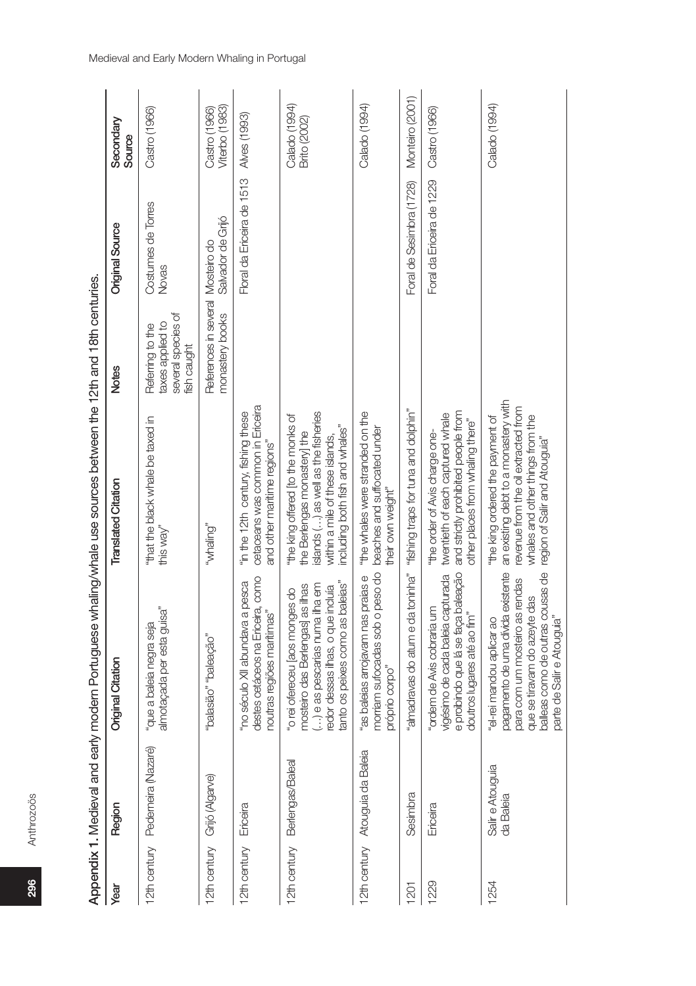| 296          | Anthrozoös                       |                                                                                                                                                                                                   |                                                                                                                                                                                      |                                                                           |                                  |                                      |
|--------------|----------------------------------|---------------------------------------------------------------------------------------------------------------------------------------------------------------------------------------------------|--------------------------------------------------------------------------------------------------------------------------------------------------------------------------------------|---------------------------------------------------------------------------|----------------------------------|--------------------------------------|
|              | Appendix 1. Medieval and early i |                                                                                                                                                                                                   | modern Portuguese whaling/whale use sources between the 12th and 18th centuries.                                                                                                     |                                                                           |                                  |                                      |
| year         | Region                           | <b>Original Citation</b>                                                                                                                                                                          | <b>Translated Citation</b>                                                                                                                                                           | <b>Notes</b>                                                              | Original Source                  | Secondary<br>Source                  |
| 12th century | Pederneira (Nazaré)              | almotaçada per esta guisa"<br>que a baleia negra seja                                                                                                                                             | "that the black whale be taxed in<br>this way"                                                                                                                                       | several species of<br>taxes applied to<br>Referring to the<br>fish caught | Costumes de Torres<br>Novas      | Castro (1966)                        |
| 12th century | Grijó (Algarve)                  | "balasião" "baleação"                                                                                                                                                                             | "bujeyw,                                                                                                                                                                             | References in several<br>monastery books                                  | Mosteiro do<br>Salvador de Grijó | Castro (1966)<br>Viterbo (1983)      |
| 12th century | Ericeira                         | destes cetáceos na Ericeira, como<br>ino século XII abundava a pesca<br>noutras regiões maritimas"                                                                                                | cetaceans was common in Ericeira<br>"in the 12th century, fishing these<br>and other maritime regions"                                                                               |                                                                           | Floral da Ericeira de 1513       | Alves (1993)                         |
| 12th century | Berlengas/Baleal                 | tanto os peixes como as baleias"<br>) e as pescarias numa ilha em<br>redor dessas ilhas, o que incluía<br>mosteiro das Berlengas] as ilhas<br>o rei ofereceu [aos monges do                       | islands () as well as the fisheries<br>"the king offered [to the monks of<br>including both fish and whales"<br>the Berlengas monastery] the<br>within a mile of these islands,      |                                                                           |                                  | Calado (1994)<br><b>Brito (2002)</b> |
| 12th century | Atouguia da Baleia               | morriam sufocadas sob o peso do<br>as baleias arrojavam nas praias e<br>próprio corpo"                                                                                                            | "the whales were stranded on the<br>beaches and suffocated under<br>their own weight"                                                                                                |                                                                           |                                  | Calado (1994)                        |
| 1201         | Sesimbra                         | "almadravas do atum e da toninha"                                                                                                                                                                 | "fishing traps for tuna and dolphin"                                                                                                                                                 |                                                                           | Foral de Sesimbra (1728)         | Monteiro (2001)                      |
| 1229         | Ericeira                         | vigésimo de cada baleia capturada<br>e proibindo que lá se faça baleação<br>'ordem de Avis cobraria um<br>doutros lugares até ao fim <sup>"</sup>                                                 | and strictly prohibited people from<br>twentieth of each captured whale<br>other places from whaling there"<br>"the order of Avis charge one-                                        |                                                                           | Foral da Ericeira de 1229        | Castro (1966)                        |
| 1254         | Salir e Atouguia<br>da Baleia    | pagamento de uma dívida existente<br>palleas como de outras cousas de<br>para com um mosteiro as rendas<br>que se tiravam do azeyte das<br>parte de Salir e Atouguia"<br>el-rei mandou aplicar ao | an existing debt to a monastery with<br>revenue from the oil extracted from<br>whales and other things from the<br>"the king ordered the payment of<br>region of Salir and Atouguia" |                                                                           |                                  | Calado (1994)                        |
|              |                                  |                                                                                                                                                                                                   |                                                                                                                                                                                      |                                                                           |                                  |                                      |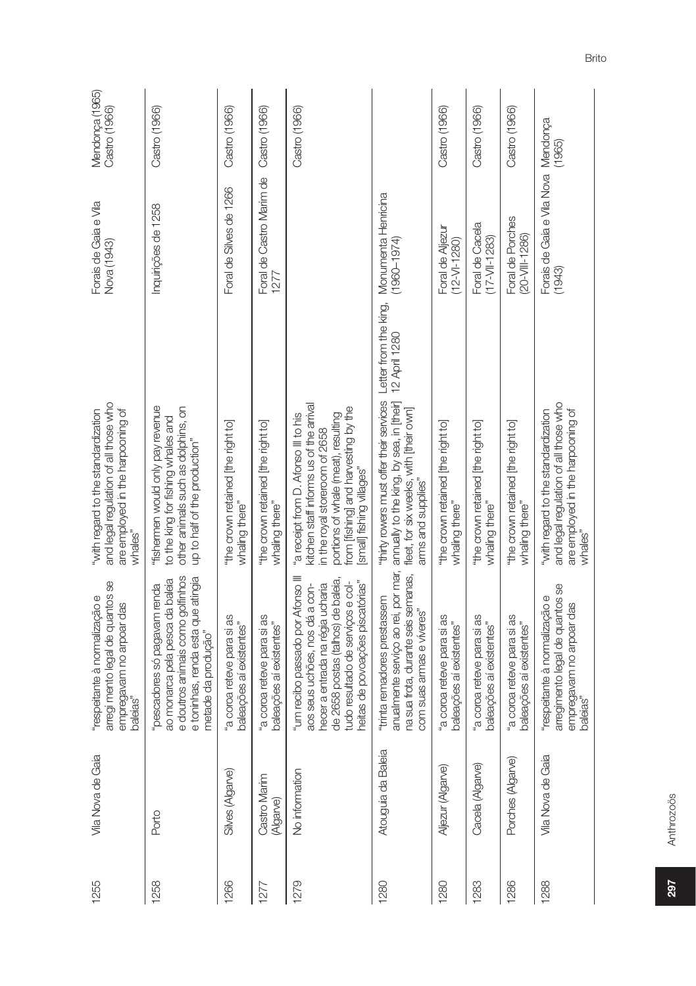| Mendonça (1965)<br>Castro (1966)                                                                                            | Castro (1966)                                                                                                                                                   | Castro (1966)                                         | Castro (1966)                                         | Castro (1966)                                                                                                                                                                                                                |                                                                                                                                                      | Castro (1966)                                         | Castro (1966)                                         | Castro (1966)                                         |                                                                                                                              |  |                   |
|-----------------------------------------------------------------------------------------------------------------------------|-----------------------------------------------------------------------------------------------------------------------------------------------------------------|-------------------------------------------------------|-------------------------------------------------------|------------------------------------------------------------------------------------------------------------------------------------------------------------------------------------------------------------------------------|------------------------------------------------------------------------------------------------------------------------------------------------------|-------------------------------------------------------|-------------------------------------------------------|-------------------------------------------------------|------------------------------------------------------------------------------------------------------------------------------|--|-------------------|
| Forais de Gaia e Vila<br>Nova (1943)                                                                                        | Inquirições de 1258                                                                                                                                             | Foral de Silves de 1266                               | Foral de Castro Marim de<br>1277                      |                                                                                                                                                                                                                              | Monumenta Henricina<br>$(1960 - 1974)$                                                                                                               | Foral de Aljezur<br>$(12 - V1 - 1280)$                | Foral de Cacela<br>$(17 - 1/11 - 1283)$               | Foral de Porches<br>$(20 - 1/11 - 1.286)$             | Forais de Gaia e Vila Nova Mendonça<br>(1943)                                                                                |  |                   |
|                                                                                                                             |                                                                                                                                                                 |                                                       |                                                       |                                                                                                                                                                                                                              | Letter from the king,<br>12 April 1280                                                                                                               |                                                       |                                                       |                                                       |                                                                                                                              |  |                   |
| and legal regulation of all those who<br>with regard to the standardization<br>are employed in the harpooning of<br>whales" | fishermen would only pay revenue<br>other animals such as dolphins, on<br>to the king for fishing whales and<br>up to half of the production"                   | "the crown retained [the right to]<br>whaling there"  | "the crown retained [the right to]<br>whaling there"  | dichen staff informs us of the arrival<br>from [fishing] and harvesting by the<br>portions of whale (meat), resulting<br>'a receipt from D. Afonso III to his<br>in the royal storeroom of 2658<br>[small] fishing villages" | "thirty rowers must offer their services<br>annually to the king, by sea, in [their]<br>fleet, for six weeks, with [their own]<br>arms and supplies" | "the crown retained [the right to]<br>whaling there"  | "the crown retained [the right to]<br>whaling there"  | the crown retained [the right to]<br>whaling there"   | and legal regulation of all those who<br>"with regard to the standardization<br>are employed in the harpooning of<br>whales" |  |                   |
| arregi mento legal de quantos se<br>"respeitante à normalização e<br>empregavam no arpoar das<br>baleias"                   | e doutros animais como golfinhos<br>e toninhas, renda esta que atingia<br>metade da produção"<br>ao monarca pela pesca da baleia<br>pescadores só pagavam renda | a coroa reteve para si as<br>baleações aí existentes" | a coroa reteve para si as<br>baleações aí existentes" | "um recibo passado por Afonso III<br>de 2658 postas (talhos) de baleia,<br>heitas de povoações piscatórias"<br>aos seus uchões, nos dá a con-<br>hecer a entrada na régia ucharia<br>tudo resultado de serviços e col-       | anualmente serviço ao rei, por mar,<br>na sua frota, durante seis semanas,<br>"trinta remadores prestassem<br>com suas armas e viveres"              | a coroa reteve para si as<br>baleações aí existentes" | a coroa reteve para si as<br>baleações aí existentes" | a coroa reteve para si as<br>baleações aí existentes" | arregimento legal de quantos se<br>"respeitante à normalização e<br>empregavam no arpoar das<br>baleias"                     |  |                   |
| Vila Nova de Gaia                                                                                                           | Porto                                                                                                                                                           | Silves (Algarve)                                      | Castro Marim<br>(Algarve)                             | No information                                                                                                                                                                                                               | Atouguia da Baleia                                                                                                                                   | Aljezur (Algarve)                                     | Cacela (Algarve)                                      | Porches (Algarve)                                     | Vila Nova de Gaia                                                                                                            |  | <b>Anthrozoös</b> |
| 1255                                                                                                                        | 1258                                                                                                                                                            | 1266                                                  | 1277                                                  | 1279                                                                                                                                                                                                                         | 1280                                                                                                                                                 | 1280                                                  | 1283                                                  | 1286                                                  | 1288                                                                                                                         |  | 297               |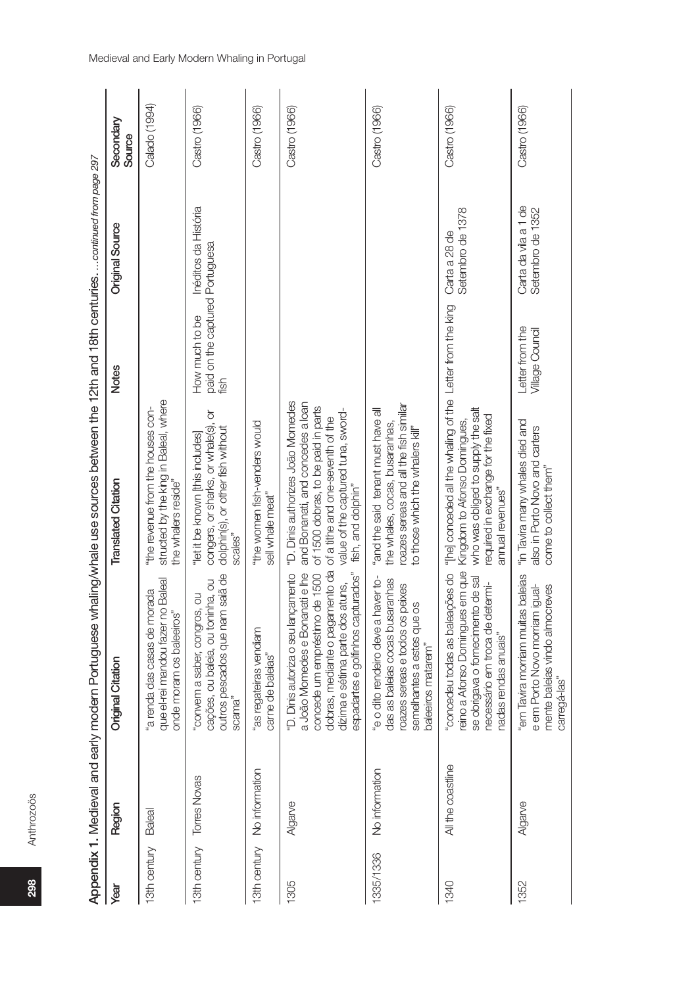| 298          | Anthrozoös        |                                                                                                                                                                                                                                                                                                                   |                                                                                                                                                                                            |                                                           |                                          |                     |
|--------------|-------------------|-------------------------------------------------------------------------------------------------------------------------------------------------------------------------------------------------------------------------------------------------------------------------------------------------------------------|--------------------------------------------------------------------------------------------------------------------------------------------------------------------------------------------|-----------------------------------------------------------|------------------------------------------|---------------------|
|              |                   | Appendix 1. Medieval and early modern Portuguese whaling/whale use sources between the 12th and 18th centuries.  continued from page 297                                                                                                                                                                          |                                                                                                                                                                                            |                                                           |                                          |                     |
| Year         | Region            | <b>Original Citation</b>                                                                                                                                                                                                                                                                                          | <b>Translated Citation</b>                                                                                                                                                                 | <b>Notes</b>                                              | Original Source                          | Secondary<br>Source |
| 13th century | <b>Baleal</b>     | "a renda das casas de morada<br>que el-rei mandou fazer no Baleal<br>onde moram os baleeiros"                                                                                                                                                                                                                     | structed by the king in Baleal, where<br>the whalers reside"<br>"the revenue from the houses con-                                                                                          |                                                           |                                          | Calado (1994)       |
| 13th century | Torres Novas      | cações, ou baleia, ou toninha, ou<br>outros pescados que nam saiã de<br>scama"<br>"convern a saber, congros, ou                                                                                                                                                                                                   | $\overline{O}$<br>congers, or sharks, or whale(s),<br>dolphin(s), or other fish without<br>scales"<br>"let it be known [this includes]                                                     | paid on the captured Portuguesa<br>How much to be<br>fosh | Inéditos da História                     | Castro (1966)       |
| 13th century | No information    | "as regateiras vendiam<br>carne de baleias"                                                                                                                                                                                                                                                                       | "the women fish-venders would<br>sell whale meat"                                                                                                                                          |                                                           |                                          | Castro (1966)       |
| 1305         | Algarve           | concede um empréstimo de 1500 of 1500 dobras, to be paid in part<br>dobras, mediante o pagamento da of a tithe and one-seventh of the<br>dizima e sétima parte dos atuns, value of the captured tuna, sword<br>espadartes e goffinhos c<br>"D. Dinis autoriza o seu lançamento<br>a João Momedes e Bonanati e lhe | "D. Dinis authorizes João Momedes<br>and Bonanati, and concedes a loan<br>of 1500 dobras, to be paid in parts<br>value of the captured tuna, sword-                                        |                                                           |                                          | Castro (1966)       |
| 1335/1336    | No information    | "e o dito rendeiro deve a haver to-<br>das as baleias cocas busaranhas<br>rozzes sereas e todos os peixes<br>semelhantes a estes que os<br>baleiros matarem"                                                                                                                                                      | roazes sereas and all the fish similar<br>"and the said tenant must have all<br>the whales, cocas, busaranhas,<br>to those which the whalers kill"                                         |                                                           |                                          | Castro (1966)       |
| <b>1340</b>  | All the coastline | reino a Afonso Domingues em que<br>ob segóeared se sepot nepeouoo,<br>se obrigava o fornecimento de sal<br>necessário em troca de determi-<br>nadas rendas anuais"                                                                                                                                                | "[he] conceded all the whaling of the Letter from the king<br>who was obliged to supply the salt<br>required in exchange for the fixed<br>Kingdom to Afonso Domingues,<br>annual revenues" |                                                           | Setembro de 1378<br>Carta a 28 de        | Castro (1966)       |
| 1352         | Algarve           | "em Tavira morriam muitas baleias<br>e em Porto Novo morriam igual-<br>mente baleias vindo almocreves<br>carregá-las"                                                                                                                                                                                             | "in Tavira many whales died and<br>also in Porto Novo and carters<br>come to collect them"                                                                                                 | Letter from the<br><b>Village Council</b>                 | Carta da vila a 1 de<br>Setembro de 1352 | Castro (1966)       |
|              |                   |                                                                                                                                                                                                                                                                                                                   |                                                                                                                                                                                            |                                                           |                                          |                     |

Medieval and Early Modern Whaling in Portugal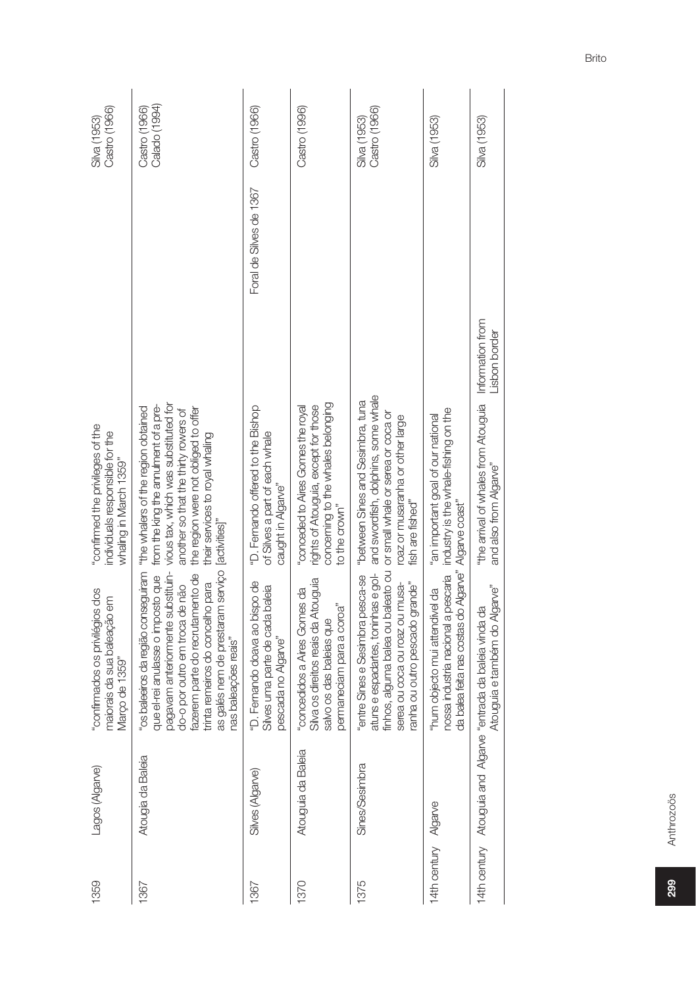| Silva (1953)                    | Castro (1966)                                             | Calado (1994)<br>Castro (1966)                                                                                                                                                                                                                                                       | Castro (1966)                                                                              | Castro (1996)                                                                                                                     | Castro (1966)<br>Silva (1953)                                                                                                                                                     | Silva (1953)                                                                                                   | Silva (1953)                                                   |                   |
|---------------------------------|-----------------------------------------------------------|--------------------------------------------------------------------------------------------------------------------------------------------------------------------------------------------------------------------------------------------------------------------------------------|--------------------------------------------------------------------------------------------|-----------------------------------------------------------------------------------------------------------------------------------|-----------------------------------------------------------------------------------------------------------------------------------------------------------------------------------|----------------------------------------------------------------------------------------------------------------|----------------------------------------------------------------|-------------------|
|                                 |                                                           |                                                                                                                                                                                                                                                                                      | Foral de Silves de 1367                                                                    |                                                                                                                                   |                                                                                                                                                                                   |                                                                                                                |                                                                |                   |
|                                 |                                                           |                                                                                                                                                                                                                                                                                      |                                                                                            |                                                                                                                                   |                                                                                                                                                                                   |                                                                                                                | Information from<br><b>Lisbon border</b>                       |                   |
| confirmed the privileges of the | individuals responsible for the<br>whaling in March 1359" | vious tax, which was substituted for<br>from the king the annulment of a pre-<br>the region were not obliged to offer<br>"the whalers of the region obtained<br>another so that the thirty rowers of<br>their services to royal whaling<br>[activities]"                             | "D. Fernando offered to the Bishop<br>of Silves a part of each whale<br>caught in Algarve" | concerning to the whales belonging<br>rights of Atouguia, except for those<br>"conceded to Aires Gomes the royal<br>to the crown" | and swordfish, dolphins, some whale<br>"between Sines and Sesimbra, tuna<br>or small whale or serea or coca or<br>roaz or musaranha or other large<br>fish are fished"            | industry is the whale-fishing on the<br>Algarve coast"<br>an important goal of our national                    | "the arrival of whales from Atouguia<br>and also from Algarve" |                   |
| "confirmados os privilégios dos | maiorais da sua baleação em<br>Março de 1359"             | as galés nem de prestaram serviço<br>pagavam anteriormente substituin-<br>"os baleeiros da região conseguiram<br>fazerem parte do recrutamento de<br>que el-rei anulasse o imposto que<br>trinta remeiros do concelho para<br>do-o por outro em troca de não<br>nas baleações reais" | "D. Fernando doava ao bispo de<br>Silves uma parte de cada baleia<br>pescada no Algarve"   | Silva os direitos reais da Atouguia<br>"concedidos a Aires Gomes da<br>permaneciam para a coroa"<br>salvo os das baleias que      | finhos, alguma balea ou baleato ou<br>atuns e espadartes, toninhas e gol-<br>"entre Sines e Sesimbra pesca-se<br>ranha ou outro pescado grande"<br>serea ou coca ou roaz ou musa- | da balea feita nas costas do Algarve"<br>nossa industria nacional a pescaria<br>"hum objecto mui attendivel da | Atouguia e também do Algarve"<br>entrada da baleia vinda da    |                   |
| Lagos (Algarve)                 |                                                           | Atougia da Baleia                                                                                                                                                                                                                                                                    | Silves (Algarve)                                                                           | Atouguia da Baleia                                                                                                                | Sines/Sesimbra                                                                                                                                                                    |                                                                                                                | Atouguia and Algarve                                           | <b>Anthrozoös</b> |
| 1359                            |                                                           | 1367                                                                                                                                                                                                                                                                                 | 1367                                                                                       | 1370                                                                                                                              | 1375                                                                                                                                                                              | 14th century Algarve                                                                                           | 14th century                                                   | 299               |